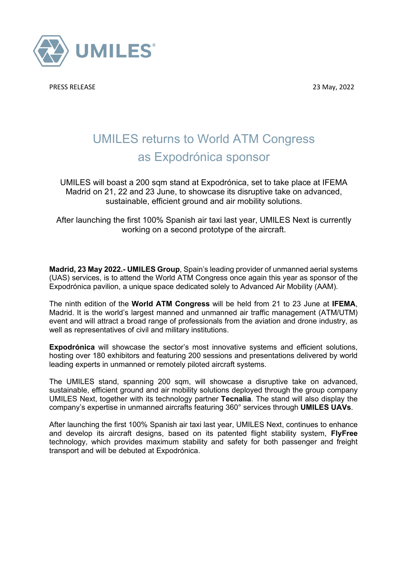

PRESS RELEASE 23 May, 2022

## UMILES returns to World ATM Congress as Expodrónica sponsor

UMILES will boast a 200 sqm stand at Expodrónica, set to take place at IFEMA Madrid on 21, 22 and 23 June, to showcase its disruptive take on advanced, sustainable, efficient ground and air mobility solutions.

After launching the first 100% Spanish air taxi last year, UMILES Next is currently working on a second prototype of the aircraft.

**Madrid, 23 May 2022.- UMILES Group**, Spain's leading provider of unmanned aerial systems (UAS) services, is to attend the World ATM Congress once again this year as sponsor of the Expodrónica pavilion, a unique space dedicated solely to Advanced Air Mobility (AAM).

The ninth edition of the **World ATM Congress** will be held from 21 to 23 June at **IFEMA**, Madrid. It is the world's largest manned and unmanned air traffic management (ATM/UTM) event and will attract a broad range of professionals from the aviation and drone industry, as well as representatives of civil and military institutions.

**Expodrónica** will showcase the sector's most innovative systems and efficient solutions, hosting over 180 exhibitors and featuring 200 sessions and presentations delivered by world leading experts in unmanned or remotely piloted aircraft systems.

The UMILES stand, spanning 200 sqm, will showcase a disruptive take on advanced, sustainable, efficient ground and air mobility solutions deployed through the group company UMILES Next, together with its technology partner **Tecnalia**. The stand will also display the company's expertise in unmanned aircrafts featuring 360° services through **UMILES UAVs**.

After launching the first 100% Spanish air taxi last year, UMILES Next, continues to enhance and develop its aircraft designs, based on its patented flight stability system, **FlyFree** technology, which provides maximum stability and safety for both passenger and freight transport and will be debuted at Expodrónica.